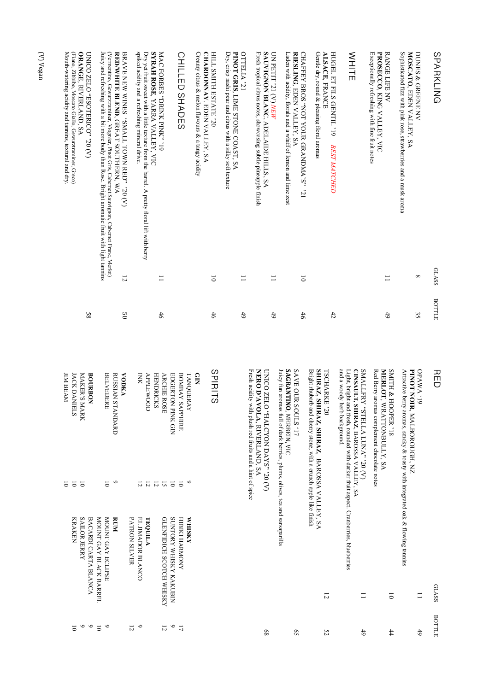| SPARKLING                                                                                                                                                                                                                                                                                                                                                                                                                                                                | <b>GLASS</b>       | BOTTLE         |
|--------------------------------------------------------------------------------------------------------------------------------------------------------------------------------------------------------------------------------------------------------------------------------------------------------------------------------------------------------------------------------------------------------------------------------------------------------------------------|--------------------|----------------|
| Sophisticated fizz with pink rose, strawberries and a musk aroma<br>MOSCATO, EDEN VALLEY, SA<br><b>DUNES &amp; GREENE NV</b>                                                                                                                                                                                                                                                                                                                                             | ${}^{\circ}$       | ςç             |
| <b>RANGE LIFE NV</b><br>Exceptionally refreshing with fine fruit notes<br>PROSECCO, KING VALLEY, VIC                                                                                                                                                                                                                                                                                                                                                                     | $\equiv$           | 49             |
| WHITE                                                                                                                                                                                                                                                                                                                                                                                                                                                                    |                    |                |
| Gentle dry, round & pleasing floral aromas<br><b>ALSACE, FRANCE</b><br>HUGEL ET FILS GENTL'19<br><b>BEST MATCHED</b>                                                                                                                                                                                                                                                                                                                                                     |                    | 42             |
| Laden with acidity, florals and a whiff of lemon and lime zest<br>IZ. "S'AMQVARD RUOY TOV" SORY FERALD<br>RIESLING, EDEN VALLEY, SA                                                                                                                                                                                                                                                                                                                                      | $\overline{\circ}$ | 46             |
| UN PETIT '21 (V) NEW<br>Fresh tropical citrus notes, showcasing subtle pineapple finish<br>SAUVIGNON BLANC, ADELAIDE HILLS, SA                                                                                                                                                                                                                                                                                                                                           | $\Box$             | $^{49}$        |
| OTTELIA'21<br><b>PINOT GRIS</b> , LIME STONE COAST, SA<br>Dry, crisp nashi pear and citrus with a silky soft texture                                                                                                                                                                                                                                                                                                                                                     | $\equiv$           | 6 <sup>†</sup> |
| HILL SMITH ESTATE '20<br>Creamy citrus & melon flavours & a tangy acidity<br><b>CHARDONNAY, EDEN VALLEY, SA</b>                                                                                                                                                                                                                                                                                                                                                          | $\overline{\circ}$ | 46             |
| CHILLED SHADES                                                                                                                                                                                                                                                                                                                                                                                                                                                           |                    |                |
| spiked acidity and a refreshing mineral drive.<br><b>MAC FORBES "DRINK PINK" '19</b><br>Dry yet fruit sweet with a little texture from the barrel. A pretty floral lift with berry<br>SYRAH ROSE, YARRA VALLEY, VIC                                                                                                                                                                                                                                                      | $\equiv$           | 46             |
| $(0.026, 0.076, 0.0000, 0.0000, 0.0000, 0.0000, 0.0000, 0.0000, 0.0000, 0.0000, 0.0000, 0.0000, 0.0000, 0.0000, 0.0000, 0.0000, 0.0000, 0.0000, 0.0000, 0.0000, 0.0000, 0.0000, 0.0000, 0.0000, 0.0000, 0.0000, 0.0000, 0.000$<br>Juicy and refreshing with a bit more body than Rose. Bright aromatic fruit with light tannins<br>RED/WHITE BLEND, GREAT SOUTHERN, WA<br>(Vermentino, Gewurztraminer, Viognier, Pinot Gris, Cabernet Sauvignon, Cabernet Franc, Merlot) | $\overline{5}$     | SO             |
| ORANGE, RIVERLAND, SA<br>(Fiano, Zibbibo, Moscato Giallo, Gewurztraminer, Greco)<br>LINICO ZELO "ESOTERICO" '20 (V)<br>Mouth-watering acidity and tannins, textural and dry                                                                                                                                                                                                                                                                                              |                    | 85             |
|                                                                                                                                                                                                                                                                                                                                                                                                                                                                          |                    |                |

| <b>NISIN'N ANSIEM ANOINIS</b><br><b>ANOWAYH IMEIH</b><br><b>SAILOR JERRY</b><br>MOUNT GAY BLACK BARREL<br>MOUNT GAY ECLIPSE<br>RUM<br>GLENFIDICH SCOTCH WHISKY<br><b>VHISKY</b><br>BACARDI CARTA BLANCA<br><b>PATRON SILVER</b><br>TEQUILA<br>KRAKEN<br>EL JIMADOR BLANCO | <b>JIM BEAM</b><br>$\overline{5}$ | <b>IACK DANIELS</b><br>$\overline{\circ}$ | MAKER'S MARK<br>$\overline{5}$ | <b>BOURBON</b> |                | <b>BELVEDERE</b><br>$\overline{0}$ | RUSSIAN STANDARD | <b>VNOON</b> |                | XNI<br>12 | <b>APPLEWOOD</b><br>$\overline{5}$ | <b>HENDRICKS</b><br>$\overline{5}$ | <b>ARCHIE ROSE</b><br>$\overline{5}$ | EDGERTON PINK GIN<br>$\overline{\circ}$ | <b>BOMBAY SAPPHIRE</b><br>$\overline{\circ}$ | $\mathbf{S}$<br>TANQUERAY<br>$\circ$ | SPIRITS | Fresh acidity with plush red fruits and a hint of spice | CA) 0Z. "SYAQ VOYOLAR" OIELO DINU<br>NERO D'AVOLA, RIVERLAND, SA | Juicy fun aromas full of dark berries, plums, olives, tea and sarsaparilla<br>SAGRANTINO, MERBEIN, VIC | <b>SAVE OUR SOULS</b> '17 | SHIRAZ, SHIRAZ, SHIRAZ, BAROSSA VALLEY, SA<br>Bright rhubarb and cherry stone, with a crunch apple like finish<br><b>TSCHARKE</b> '20 | and a woody herb background.<br>Light, bright and fresh, rounded with darker fruit aspect. Cranberries, blueberries | CINSAULT, SHIRAZ, BAROSSA VALLEY, SA<br>(V) 02. "ANUL ALLETS" YARLEMS | MERLOT, WRATTONBULLY, SA<br>Red Berry aromas complement chocolate notes | SITH & HOOPER '18 | Attractive berry aromas, smoky & toasty with integrated oak & flowing tannins<br>PINOT NOIR, MALBOROUGH, NZ | 61, VMV <sub>d</sub> O | 꼼巴           |
|---------------------------------------------------------------------------------------------------------------------------------------------------------------------------------------------------------------------------------------------------------------------------|-----------------------------------|-------------------------------------------|--------------------------------|----------------|----------------|------------------------------------|------------------|--------------|----------------|-----------|------------------------------------|------------------------------------|--------------------------------------|-----------------------------------------|----------------------------------------------|--------------------------------------|---------|---------------------------------------------------------|------------------------------------------------------------------|--------------------------------------------------------------------------------------------------------|---------------------------|---------------------------------------------------------------------------------------------------------------------------------------|---------------------------------------------------------------------------------------------------------------------|-----------------------------------------------------------------------|-------------------------------------------------------------------------|-------------------|-------------------------------------------------------------------------------------------------------------|------------------------|--------------|
|                                                                                                                                                                                                                                                                           |                                   |                                           |                                |                |                |                                    |                  |              |                |           |                                    |                                    |                                      |                                         |                                              |                                      |         |                                                         |                                                                  |                                                                                                        |                           |                                                                                                                                       |                                                                                                                     |                                                                       |                                                                         |                   |                                                                                                             |                        | <b>GLASS</b> |
|                                                                                                                                                                                                                                                                           |                                   | 5                                         | $\circ$                        | $\circ$        | $\overline{0}$ | $\circ$                            |                  |              | $\overline{5}$ | $\circ$   |                                    |                                    | 12                                   | $\circ$                                 | 11                                           |                                      |         |                                                         | 89                                                               |                                                                                                        | $5^{\circ}$               | 52                                                                                                                                    |                                                                                                                     | 49                                                                    |                                                                         | $^{44}$           |                                                                                                             | 49                     | BOTTLE       |